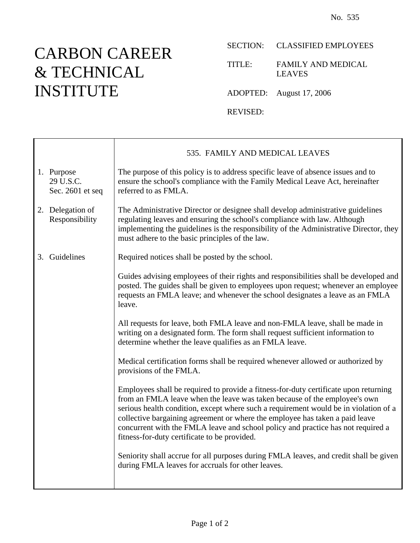⅂

## CARBON CAREER & TECHNICAL INSTITUTE

 $\mathbf{I}$ 

 $\Gamma$ 

## SECTION: CLASSIFIED EMPLOYEES

TITLE: FAMILY AND MEDICAL LEAVES

ADOPTED: August 17, 2006

REVISED:

|                                             | 535. FAMILY AND MEDICAL LEAVES                                                                                                                                                                                                                                                                                                                                                                                                                                                |
|---------------------------------------------|-------------------------------------------------------------------------------------------------------------------------------------------------------------------------------------------------------------------------------------------------------------------------------------------------------------------------------------------------------------------------------------------------------------------------------------------------------------------------------|
| 1. Purpose<br>29 U.S.C.<br>Sec. 2601 et seq | The purpose of this policy is to address specific leave of absence issues and to<br>ensure the school's compliance with the Family Medical Leave Act, hereinafter<br>referred to as FMLA.                                                                                                                                                                                                                                                                                     |
| 2. Delegation of<br>Responsibility          | The Administrative Director or designee shall develop administrative guidelines<br>regulating leaves and ensuring the school's compliance with law. Although<br>implementing the guidelines is the responsibility of the Administrative Director, they<br>must adhere to the basic principles of the law.                                                                                                                                                                     |
| Guidelines<br>3.                            | Required notices shall be posted by the school.                                                                                                                                                                                                                                                                                                                                                                                                                               |
|                                             | Guides advising employees of their rights and responsibilities shall be developed and<br>posted. The guides shall be given to employees upon request; whenever an employee<br>requests an FMLA leave; and whenever the school designates a leave as an FMLA<br>leave.                                                                                                                                                                                                         |
|                                             | All requests for leave, both FMLA leave and non-FMLA leave, shall be made in<br>writing on a designated form. The form shall request sufficient information to<br>determine whether the leave qualifies as an FMLA leave.                                                                                                                                                                                                                                                     |
|                                             | Medical certification forms shall be required whenever allowed or authorized by<br>provisions of the FMLA.                                                                                                                                                                                                                                                                                                                                                                    |
|                                             | Employees shall be required to provide a fitness-for-duty certificate upon returning<br>from an FMLA leave when the leave was taken because of the employee's own<br>serious health condition, except where such a requirement would be in violation of a<br>collective bargaining agreement or where the employee has taken a paid leave<br>concurrent with the FMLA leave and school policy and practice has not required a<br>fitness-for-duty certificate to be provided. |
|                                             | Seniority shall accrue for all purposes during FMLA leaves, and credit shall be given<br>during FMLA leaves for accruals for other leaves.                                                                                                                                                                                                                                                                                                                                    |
|                                             |                                                                                                                                                                                                                                                                                                                                                                                                                                                                               |